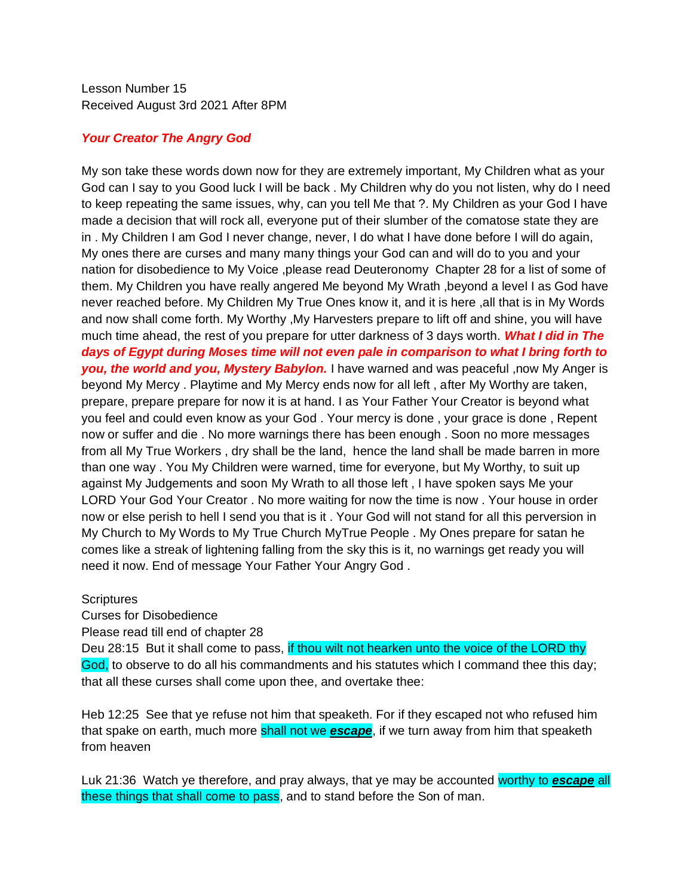Lesson Number 15 Received August 3rd 2021 After 8PM

## *Your Creator The Angry God*

My son take these words down now for they are extremely important, My Children what as your God can I say to you Good luck I will be back . My Children why do you not listen, why do I need to keep repeating the same issues, why, can you tell Me that ?. My Children as your God I have made a decision that will rock all, everyone put of their slumber of the comatose state they are in . My Children I am God I never change, never, I do what I have done before I will do again, My ones there are curses and many many things your God can and will do to you and your nation for disobedience to My Voice ,please read Deuteronomy Chapter 28 for a list of some of them. My Children you have really angered Me beyond My Wrath ,beyond a level I as God have never reached before. My Children My True Ones know it, and it is here ,all that is in My Words and now shall come forth. My Worthy ,My Harvesters prepare to lift off and shine, you will have much time ahead, the rest of you prepare for utter darkness of 3 days worth. *What I did in The days of Egypt during Moses time will not even pale in comparison to what I bring forth to you, the world and you, Mystery Babylon.* I have warned and was peaceful ,now My Anger is beyond My Mercy . Playtime and My Mercy ends now for all left , after My Worthy are taken, prepare, prepare prepare for now it is at hand. I as Your Father Your Creator is beyond what you feel and could even know as your God . Your mercy is done , your grace is done , Repent now or suffer and die . No more warnings there has been enough . Soon no more messages from all My True Workers , dry shall be the land, hence the land shall be made barren in more than one way . You My Children were warned, time for everyone, but My Worthy, to suit up against My Judgements and soon My Wrath to all those left , I have spoken says Me your LORD Your God Your Creator . No more waiting for now the time is now . Your house in order now or else perish to hell I send you that is it . Your God will not stand for all this perversion in My Church to My Words to My True Church MyTrue People . My Ones prepare for satan he comes like a streak of lightening falling from the sky this is it, no warnings get ready you will need it now. End of message Your Father Your Angry God .

## **Scriptures**

Curses for Disobedience

Please read till end of chapter 28

Deu 28:15 But it shall come to pass, if thou wilt not hearken unto the voice of the LORD thy God, to observe to do all his commandments and his statutes which I command thee this day; that all these curses shall come upon thee, and overtake thee:

Heb 12:25 See that ye refuse not him that speaketh. For if they escaped not who refused him that spake on earth, much more shall not we *escape*, if we turn away from him that speaketh from heaven

Luk 21:36 Watch ye therefore, and pray always, that ye may be accounted worthy to *escape* all these things that shall come to pass, and to stand before the Son of man.